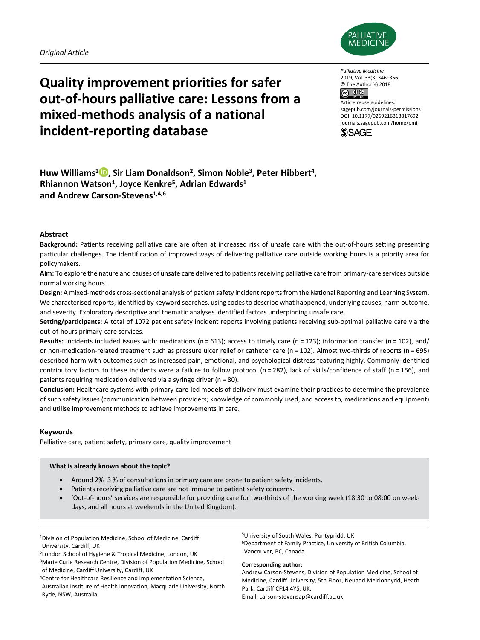

# **Quality improvement priorities for safer out-of-hours palliative care: Lessons from a mixed-methods analysis of a national incident-reporting database**

*Palliative Medicine* 2019, Vol. 33(3) 346–356 © The Author(s) 2018 

DOI: 10.1177/0269216318817692 Article reuse guidelines: [sagepub.com/journals-permissions](https://uk.sagepub.com/en-gb/journals-permissions) [journals.sagepub.com/home/pmj](http://journals.sagepub.com/home/pmj)



# Huw Williams<sup>1</sup> **D**, Sir Liam Donaldson<sup>2</sup>, Simon Noble<sup>3</sup>, Peter Hibbert<sup>4</sup>, **Rhiannon Watson1, Joyce Kenkre5, Adrian Edwards1 and Andrew Carson-Stevens1,4,6**

### **Abstract**

**Background:** Patients receiving palliative care are often at increased risk of unsafe care with the out-of-hours setting presenting particular challenges. The identification of improved ways of delivering palliative care outside working hours is a priority area for policymakers.

**Aim:** To explore the nature and causes of unsafe care delivered to patients receiving palliative care from primary-care services outside normal working hours.

**Design:** A mixed-methods cross-sectional analysis of patient safety incident reports from the National Reporting and Learning System. We characterised reports, identified by keyword searches, using codes to describe what happened, underlying causes, harm outcome, and severity. Exploratory descriptive and thematic analyses identified factors underpinning unsafe care.

**Setting/participants:** A total of 1072 patient safety incident reports involving patients receiving sub-optimal palliative care via the out-of-hours primary-care services.

**Results:** Incidents included issues with: medications (n = 613); access to timely care (n = 123); information transfer (n = 102), and/ or non-medication-related treatment such as pressure ulcer relief or catheter care (n = 102). Almost two-thirds of reports (n = 695) described harm with outcomes such as increased pain, emotional, and psychological distress featuring highly. Commonly identified contributory factors to these incidents were a failure to follow protocol (n = 282), lack of skills/confidence of staff (n = 156), and patients requiring medication delivered via a syringe driver (n = 80).

**Conclusion:** Healthcare systems with primary-care-led models of delivery must examine their practices to determine the prevalence of such safety issues (communication between providers; knowledge of commonly used, and access to, medications and equipment) and utilise improvement methods to achieve improvements in care.

# **Keywords**

Palliative care, patient safety, primary care, quality improvement

### **What is already known about the topic?**

- Around 2%–3 % of consultations in primary care are prone to patient safety incidents.
- Patients receiving palliative care are not immune to patient safety concerns.
- 'Out-of-hours' services are responsible for providing care for two-thirds of the working week (18:30 to 08:00 on weekdays, and all hours at weekends in the United Kingdom).

1Division of Population Medicine, School of Medicine, Cardiff University, Cardiff, UK

2London School of Hygiene & Tropical Medicine, London, UK

3Marie Curie Research Centre, Division of Population Medicine, School of Medicine, Cardiff University, Cardiff, UK

4Centre for Healthcare Resilience and Implementation Science, Australian Institute of Health Innovation, Macquarie University, North Ryde, NSW, Australia

5University of South Wales, Pontypridd, UK 6Department of Family Practice, University of British Columbia, Vancouver, BC, Canada

### **Corresponding author:**

Andrew Carson-Stevens, Division of Population Medicine, School of Medicine, Cardiff University, 5th Floor, Neuadd Meirionnydd, Heath Park, Cardiff CF14 4YS, UK. Email: [carson-stevensap@cardiff.ac.uk](mailto:carson-stevensap@cardiff.ac.uk)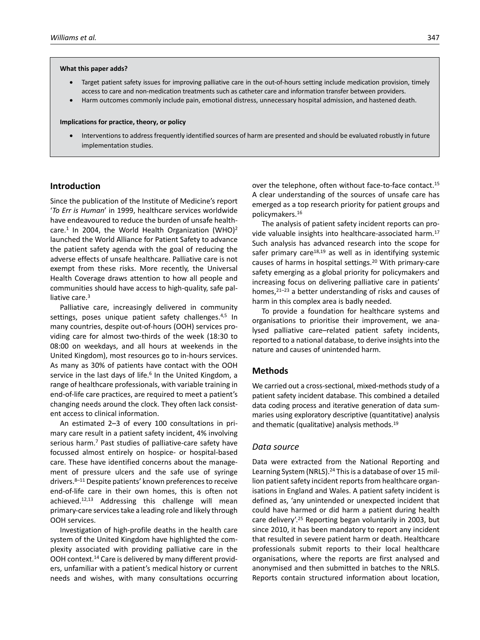#### **What this paper adds?**

- Target patient safety issues for improving palliative care in the out-of-hours setting include medication provision, timely access to care and non-medication treatments such as catheter care and information transfer between providers.
- Harm outcomes commonly include pain, emotional distress, unnecessary hospital admission, and hastened death.

### **Implications for practice, theory, or policy**

• Interventions to address frequently identified sources of harm are presented and should be evaluated robustly in future implementation studies.

### **Introduction**

Since the publication of the Institute of Medicine's report '*To Err is Human*' in 1999, healthcare services worldwide have endeavoured to reduce the burden of unsafe healthcare.<sup>1</sup> In 2004, the World Health Organization (WHO)<sup>2</sup> launched the World Alliance for Patient Safety to advance the patient safety agenda with the goal of reducing the adverse effects of unsafe healthcare. Palliative care is not exempt from these risks. More recently, the Universal Health Coverage draws attention to how all people and communities should have access to high-quality, safe palliative care.<sup>3</sup>

Palliative care, increasingly delivered in community settings, poses unique patient safety challenges.<sup>4,5</sup> In many countries, despite out-of-hours (OOH) services providing care for almost two-thirds of the week (18:30 to 08:00 on weekdays, and all hours at weekends in the United Kingdom), most resources go to in-hours services. As many as 30% of patients have contact with the OOH service in the last days of life.<sup>6</sup> In the United Kingdom, a range of healthcare professionals, with variable training in end-of-life care practices, are required to meet a patient's changing needs around the clock. They often lack consistent access to clinical information.

An estimated 2–3 of every 100 consultations in primary care result in a patient safety incident, 4% involving serious harm.7 Past studies of palliative-care safety have focussed almost entirely on hospice- or hospital-based care. These have identified concerns about the management of pressure ulcers and the safe use of syringe drivers.8–11 Despite patients' known preferences to receive end-of-life care in their own homes, this is often not achieved.12,13 Addressing this challenge will mean primary-care services take a leading role and likely through OOH services.

Investigation of high-profile deaths in the health care system of the United Kingdom have highlighted the complexity associated with providing palliative care in the OOH context.14 Care is delivered by many different providers, unfamiliar with a patient's medical history or current needs and wishes, with many consultations occurring over the telephone, often without face-to-face contact.15 A clear understanding of the sources of unsafe care has emerged as a top research priority for patient groups and policymakers.16

The analysis of patient safety incident reports can provide valuable insights into healthcare-associated harm.17 Such analysis has advanced research into the scope for safer primary care $18,19$  as well as in identifying systemic causes of harms in hospital settings.20 With primary-care safety emerging as a global priority for policymakers and increasing focus on delivering palliative care in patients' homes,21–23 a better understanding of risks and causes of harm in this complex area is badly needed.

To provide a foundation for healthcare systems and organisations to prioritise their improvement, we analysed palliative care–related patient safety incidents, reported to a national database, to derive insights into the nature and causes of unintended harm.

# **Methods**

We carried out a cross-sectional, mixed-methods study of a patient safety incident database. This combined a detailed data coding process and iterative generation of data summaries using exploratory descriptive (quantitative) analysis and thematic (qualitative) analysis methods.19

### *Data source*

Data were extracted from the National Reporting and Learning System (NRLS).<sup>24</sup> This is a database of over 15 million patient safety incident reports from healthcare organisations in England and Wales. A patient safety incident is defined as, 'any unintended or unexpected incident that could have harmed or did harm a patient during health care delivery'.25 Reporting began voluntarily in 2003, but since 2010, it has been mandatory to report any incident that resulted in severe patient harm or death. Healthcare professionals submit reports to their local healthcare organisations, where the reports are first analysed and anonymised and then submitted in batches to the NRLS. Reports contain structured information about location,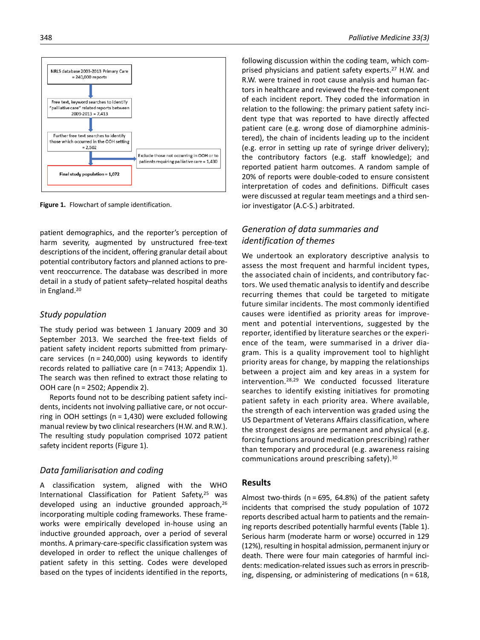

**Figure 1.** Flowchart of sample identification.

patient demographics, and the reporter's perception of harm severity, augmented by unstructured free-text descriptions of the incident, offering granular detail about potential contributory factors and planned actions to prevent reoccurrence. The database was described in more detail in a study of patient safety–related hospital deaths in England.<sup>20</sup>

# *Study population*

The study period was between 1 January 2009 and 30 September 2013. We searched the free-text fields of patient safety incident reports submitted from primarycare services (n = 240,000) using keywords to identify records related to palliative care (n = 7413; Appendix 1). The search was then refined to extract those relating to OOH care (n = 2502; Appendix 2).

Reports found not to be describing patient safety incidents, incidents not involving palliative care, or not occurring in OOH settings (n = 1,430) were excluded following manual review by two clinical researchers (H.W. and R.W.). The resulting study population comprised 1072 patient safety incident reports (Figure 1).

# *Data familiarisation and coding*

A classification system, aligned with the WHO International Classification for Patient Safety,<sup>25</sup> was developed using an inductive grounded approach,<sup>26</sup> incorporating multiple coding frameworks. These frameworks were empirically developed in-house using an inductive grounded approach, over a period of several months. A primary-care-specific classification system was developed in order to reflect the unique challenges of patient safety in this setting. Codes were developed based on the types of incidents identified in the reports,

following discussion within the coding team, which comprised physicians and patient safety experts.27 H.W. and R.W. were trained in root cause analysis and human factors in healthcare and reviewed the free-text component of each incident report. They coded the information in relation to the following: the primary patient safety incident type that was reported to have directly affected patient care (e.g. wrong dose of diamorphine administered), the chain of incidents leading up to the incident (e.g. error in setting up rate of syringe driver delivery); the contributory factors (e.g. staff knowledge); and reported patient harm outcomes. A random sample of 20% of reports were double-coded to ensure consistent interpretation of codes and definitions. Difficult cases were discussed at regular team meetings and a third senior investigator (A.C-S.) arbitrated.

# *Generation of data summaries and identification of themes*

We undertook an exploratory descriptive analysis to assess the most frequent and harmful incident types, the associated chain of incidents, and contributory factors. We used thematic analysis to identify and describe recurring themes that could be targeted to mitigate future similar incidents. The most commonly identified causes were identified as priority areas for improvement and potential interventions, suggested by the reporter, identified by literature searches or the experience of the team, were summarised in a driver diagram. This is a quality improvement tool to highlight priority areas for change, by mapping the relationships between a project aim and key areas in a system for intervention.28,29 We conducted focussed literature searches to identify existing initiatives for promoting patient safety in each priority area. Where available, the strength of each intervention was graded using the US Department of Veterans Affairs classification, where the strongest designs are permanent and physical (e.g. forcing functions around medication prescribing) rather than temporary and procedural (e.g. awareness raising communications around prescribing safety).30

# **Results**

Almost two-thirds (n = 695, 64.8%) of the patient safety incidents that comprised the study population of 1072 reports described actual harm to patients and the remaining reports described potentially harmful events (Table 1). Serious harm (moderate harm or worse) occurred in 129 (12%), resulting in hospital admission, permanent injury or death. There were four main categories of harmful incidents: medication-related issues such as errors in prescribing, dispensing, or administering of medications (n = 618,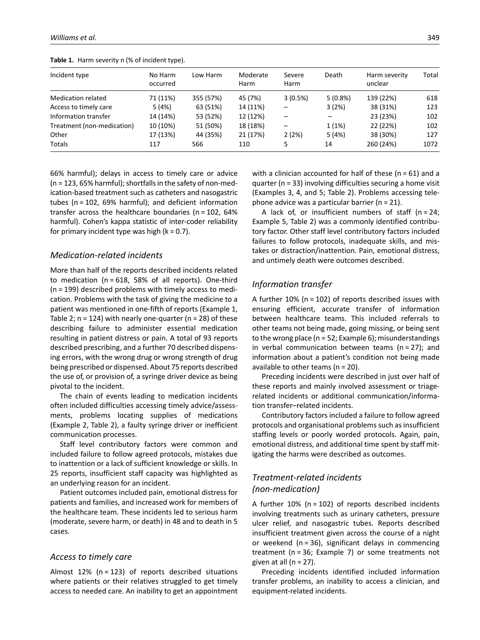**Table 1.** Harm severity n (% of incident type).

| Incident type              | No Harm<br>occurred | Low Harm  | Moderate<br>Harm | Severe<br>Harm | Death                    | Harm severity<br>unclear | Total |
|----------------------------|---------------------|-----------|------------------|----------------|--------------------------|--------------------------|-------|
| <b>Medication related</b>  | 71 (11%)            | 355 (57%) | 45 (7%)          | 3(0.5%)        | $5(0.8\%)$               | 139 (22%)                | 618   |
| Access to timely care      | 5 (4%)              | 63 (51%)  | 14 (11%)         |                | 3(2%)                    | 38 (31%)                 | 123   |
| Information transfer       | 14 (14%)            | 53 (52%)  | 12 (12%)         |                | $\overline{\phantom{0}}$ | 23 (23%)                 | 102   |
| Treatment (non-medication) | 10 (10%)            | 51 (50%)  | 18 (18%)         |                | 1(1%)                    | 22 (22%)                 | 102   |
| Other                      | 17 (13%)            | 44 (35%)  | 21 (17%)         | 2(2%)          | 5(4%)                    | 38 (30%)                 | 127   |
| Totals                     | 117                 | 566       | 110              |                | 14                       | 260 (24%)                | 1072  |

66% harmful); delays in access to timely care or advice (n = 123, 65% harmful); shortfalls in the safety of non-medication-based treatment such as catheters and nasogastric tubes (n = 102, 69% harmful); and deficient information transfer across the healthcare boundaries (n = 102, 64% harmful). Cohen's kappa statistic of inter-coder reliability for primary incident type was high (k = 0.7).

# *Medication-related incidents*

More than half of the reports described incidents related to medication (n = 618, 58% of all reports). One-third (n = 199) described problems with timely access to medication. Problems with the task of giving the medicine to a patient was mentioned in one-fifth of reports (Example 1, Table 2;  $n = 124$ ) with nearly one-quarter ( $n = 28$ ) of these describing failure to administer essential medication resulting in patient distress or pain. A total of 93 reports described prescribing, and a further 70 described dispensing errors, with the wrong drug or wrong strength of drug being prescribed or dispensed. About 75 reports described the use of, or provision of, a syringe driver device as being pivotal to the incident.

The chain of events leading to medication incidents often included difficulties accessing timely advice/assessments, problems locating supplies of medications (Example 2, Table 2), a faulty syringe driver or inefficient communication processes.

Staff level contributory factors were common and included failure to follow agreed protocols, mistakes due to inattention or a lack of sufficient knowledge or skills. In 25 reports, insufficient staff capacity was highlighted as an underlying reason for an incident.

Patient outcomes included pain, emotional distress for patients and families, and increased work for members of the healthcare team. These incidents led to serious harm (moderate, severe harm, or death) in 48 and to death in 5 cases.

# *Access to timely care*

Almost 12% (n = 123) of reports described situations where patients or their relatives struggled to get timely access to needed care. An inability to get an appointment with a clinician accounted for half of these (n = 61) and a quarter (n = 33) involving difficulties securing a home visit (Examples 3, 4, and 5; Table 2). Problems accessing telephone advice was a particular barrier (n = 21).

A lack of, or insufficient numbers of staff ( $n = 24$ ; Example 5, Table 2) was a commonly identified contributory factor. Other staff level contributory factors included failures to follow protocols, inadequate skills, and mistakes or distraction/inattention. Pain, emotional distress, and untimely death were outcomes described.

# *Information transfer*

A further 10% (n = 102) of reports described issues with ensuring efficient, accurate transfer of information between healthcare teams. This included referrals to other teams not being made, going missing, or being sent to the wrong place (n = 52; Example 6); misunderstandings in verbal communication between teams (n = 27); and information about a patient's condition not being made available to other teams (n = 20).

Preceding incidents were described in just over half of these reports and mainly involved assessment or triagerelated incidents or additional communication/information transfer–related incidents.

Contributory factors included a failure to follow agreed protocols and organisational problems such as insufficient staffing levels or poorly worded protocols. Again, pain, emotional distress, and additional time spent by staff mitigating the harms were described as outcomes.

# *Treatment-related incidents (non-medication)*

A further 10% (n = 102) of reports described incidents involving treatments such as urinary catheters, pressure ulcer relief, and nasogastric tubes. Reports described insufficient treatment given across the course of a night or weekend (n = 36), significant delays in commencing treatment (n = 36; Example 7) or some treatments not given at all (n = 27).

Preceding incidents identified included information transfer problems, an inability to access a clinician, and equipment-related incidents.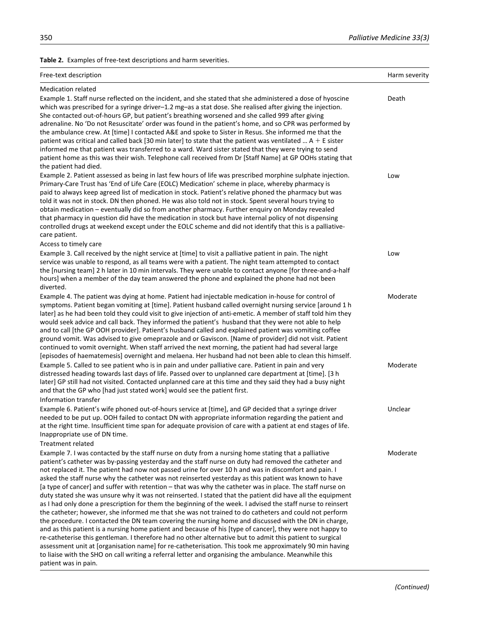**Table 2.** Examples of free-text descriptions and harm severities.

| Free-text description                                                                                                                                                                                                                                                                                                                                                                                                                                                                                                                                                                                                                                                                                                                                                                                                                                                                                                                                                                                                                                                                                                                                                                                                                                                                                                                                                                                                                                           | Harm severity |
|-----------------------------------------------------------------------------------------------------------------------------------------------------------------------------------------------------------------------------------------------------------------------------------------------------------------------------------------------------------------------------------------------------------------------------------------------------------------------------------------------------------------------------------------------------------------------------------------------------------------------------------------------------------------------------------------------------------------------------------------------------------------------------------------------------------------------------------------------------------------------------------------------------------------------------------------------------------------------------------------------------------------------------------------------------------------------------------------------------------------------------------------------------------------------------------------------------------------------------------------------------------------------------------------------------------------------------------------------------------------------------------------------------------------------------------------------------------------|---------------|
| <b>Medication related</b>                                                                                                                                                                                                                                                                                                                                                                                                                                                                                                                                                                                                                                                                                                                                                                                                                                                                                                                                                                                                                                                                                                                                                                                                                                                                                                                                                                                                                                       |               |
| Example 1. Staff nurse reflected on the incident, and she stated that she administered a dose of hyoscine<br>which was prescribed for a syringe driver-1.2 mg-as a stat dose. She realised after giving the injection.<br>She contacted out-of-hours GP, but patient's breathing worsened and she called 999 after giving<br>adrenaline. No 'Do not Resuscitate' order was found in the patient's home, and so CPR was performed by<br>the ambulance crew. At [time] I contacted A&E and spoke to Sister in Resus. She informed me that the<br>patient was critical and called back [30 min later] to state that the patient was ventilated $A + E$ sister<br>informed me that patient was transferred to a ward. Ward sister stated that they were trying to send<br>patient home as this was their wish. Telephone call received from Dr [Staff Name] at GP OOHs stating that<br>the patient had died.                                                                                                                                                                                                                                                                                                                                                                                                                                                                                                                                                        | Death         |
| Example 2. Patient assessed as being in last few hours of life was prescribed morphine sulphate injection.<br>Primary-Care Trust has 'End of Life Care (EOLC) Medication' scheme in place, whereby pharmacy is<br>paid to always keep agreed list of medication in stock. Patient's relative phoned the pharmacy but was<br>told it was not in stock. DN then phoned. He was also told not in stock. Spent several hours trying to<br>obtain medication - eventually did so from another pharmacy. Further enquiry on Monday revealed<br>that pharmacy in question did have the medication in stock but have internal policy of not dispensing<br>controlled drugs at weekend except under the EOLC scheme and did not identify that this is a palliative-<br>care patient.<br>Access to timely care                                                                                                                                                                                                                                                                                                                                                                                                                                                                                                                                                                                                                                                            | Low           |
| Example 3. Call received by the night service at [time] to visit a palliative patient in pain. The night<br>service was unable to respond, as all teams were with a patient. The night team attempted to contact<br>the [nursing team] 2 h later in 10 min intervals. They were unable to contact anyone [for three-and-a-half<br>hours] when a member of the day team answered the phone and explained the phone had not been<br>diverted.                                                                                                                                                                                                                                                                                                                                                                                                                                                                                                                                                                                                                                                                                                                                                                                                                                                                                                                                                                                                                     | Low           |
| Example 4. The patient was dying at home. Patient had injectable medication in-house for control of<br>symptoms. Patient began vomiting at [time]. Patient husband called overnight nursing service [around 1 h<br>later] as he had been told they could visit to give injection of anti-emetic. A member of staff told him they<br>would seek advice and call back. They informed the patient's husband that they were not able to help<br>and to call [the GP OOH provider]. Patient's husband called and explained patient was vomiting coffee<br>ground vomit. Was advised to give omeprazole and or Gaviscon. [Name of provider] did not visit. Patient<br>continued to vomit overnight. When staff arrived the next morning, the patient had had several large<br>[episodes of haematemesis] overnight and melaena. Her husband had not been able to clean this himself.                                                                                                                                                                                                                                                                                                                                                                                                                                                                                                                                                                                  | Moderate      |
| Example 5. Called to see patient who is in pain and under palliative care. Patient in pain and very<br>distressed heading towards last days of life. Passed over to unplanned care department at [time]. [3 h<br>later] GP still had not visited. Contacted unplanned care at this time and they said they had a busy night<br>and that the GP who [had just stated work] would see the patient first.                                                                                                                                                                                                                                                                                                                                                                                                                                                                                                                                                                                                                                                                                                                                                                                                                                                                                                                                                                                                                                                          | Moderate      |
| Information transfer<br>Example 6. Patient's wife phoned out-of-hours service at [time], and GP decided that a syringe driver<br>needed to be put up. OOH failed to contact DN with appropriate information regarding the patient and<br>at the right time. Insufficient time span for adequate provision of care with a patient at end stages of life.<br>Inappropriate use of DN time.<br><b>Treatment related</b>                                                                                                                                                                                                                                                                                                                                                                                                                                                                                                                                                                                                                                                                                                                                                                                                                                                                                                                                                                                                                                            | Unclear       |
| Example 7. I was contacted by the staff nurse on duty from a nursing home stating that a palliative<br>patient's catheter was by-passing yesterday and the staff nurse on duty had removed the catheter and<br>not replaced it. The patient had now not passed urine for over 10 h and was in discomfort and pain. I<br>asked the staff nurse why the catheter was not reinserted yesterday as this patient was known to have<br>[a type of cancer] and suffer with retention – that was why the catheter was in place. The staff nurse on<br>duty stated she was unsure why it was not reinserted. I stated that the patient did have all the equipment<br>as I had only done a prescription for them the beginning of the week. I advised the staff nurse to reinsert<br>the catheter; however, she informed me that she was not trained to do catheters and could not perform<br>the procedure. I contacted the DN team covering the nursing home and discussed with the DN in charge,<br>and as this patient is a nursing home patient and because of his [type of cancer], they were not happy to<br>re-catheterise this gentleman. I therefore had no other alternative but to admit this patient to surgical<br>assessment unit at [organisation name] for re-catheterisation. This took me approximately 90 min having<br>to liaise with the SHO on call writing a referral letter and organising the ambulance. Meanwhile this<br>patient was in pain. | Moderate      |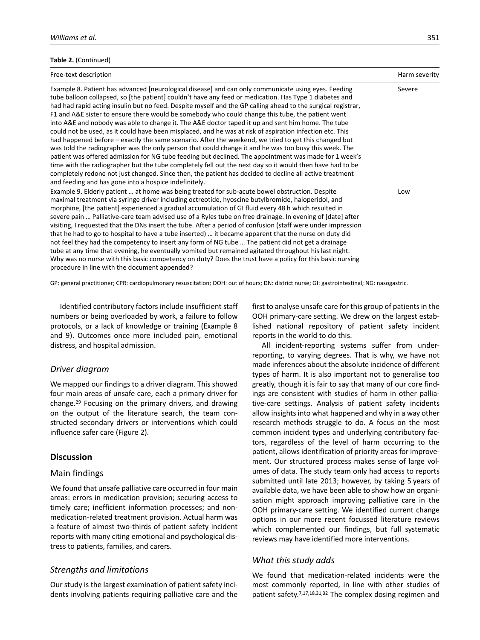#### **Table 2.** (Continued)

| Free-text description                                                                                                                                                                                                                                                                                                                                                                                                                                                                                                                                                                                                                                                                                                                                                                                                                                                                                                                                                                                                                                                                                                                                                                                                                                        | Harm severity |
|--------------------------------------------------------------------------------------------------------------------------------------------------------------------------------------------------------------------------------------------------------------------------------------------------------------------------------------------------------------------------------------------------------------------------------------------------------------------------------------------------------------------------------------------------------------------------------------------------------------------------------------------------------------------------------------------------------------------------------------------------------------------------------------------------------------------------------------------------------------------------------------------------------------------------------------------------------------------------------------------------------------------------------------------------------------------------------------------------------------------------------------------------------------------------------------------------------------------------------------------------------------|---------------|
| Example 8. Patient has advanced [neurological disease] and can only communicate using eyes. Feeding<br>tube balloon collapsed, so [the patient] couldn't have any feed or medication. Has Type 1 diabetes and<br>had had rapid acting insulin but no feed. Despite myself and the GP calling ahead to the surgical registrar,<br>F1 and A&E sister to ensure there would be somebody who could change this tube, the patient went<br>into A&E and nobody was able to change it. The A&E doctor taped it up and sent him home. The tube<br>could not be used, as it could have been misplaced, and he was at risk of aspiration infection etc. This<br>had happened before – exactly the same scenario. After the weekend, we tried to get this changed but<br>was told the radiographer was the only person that could change it and he was too busy this week. The<br>patient was offered admission for NG tube feeding but declined. The appointment was made for 1 week's<br>time with the radiographer but the tube completely fell out the next day so it would then have had to be<br>completely redone not just changed. Since then, the patient has decided to decline all active treatment<br>and feeding and has gone into a hospice indefinitely. | Severe        |
| Example 9. Elderly patient  at home was being treated for sub-acute bowel obstruction. Despite<br>maximal treatment via syringe driver including octreotide, hyoscine butylbromide, haloperidol, and<br>morphine, [the patient] experienced a gradual accumulation of GI fluid every 48 h which resulted in<br>severe pain  Palliative-care team advised use of a Ryles tube on free drainage. In evening of [date] after<br>visiting, I requested that the DNs insert the tube. After a period of confusion (staff were under impression<br>that he had to go to hospital to have a tube inserted)  it became apparent that the nurse on duty did<br>not feel they had the competency to insert any form of NG tube  The patient did not get a drainage<br>tube at any time that evening, he eventually vomited but remained agitated throughout his last night.<br>Why was no nurse with this basic competency on duty? Does the trust have a policy for this basic nursing<br>procedure in line with the document appended?                                                                                                                                                                                                                               | Low           |

GP: general practitioner; CPR: cardiopulmonary resuscitation; OOH: out of hours; DN: district nurse; GI: gastrointestinal; NG: nasogastric.

Identified contributory factors include insufficient staff numbers or being overloaded by work, a failure to follow protocols, or a lack of knowledge or training (Example 8 and 9). Outcomes once more included pain, emotional distress, and hospital admission.

### *Driver diagram*

We mapped our findings to a driver diagram. This showed four main areas of unsafe care, each a primary driver for change.29 Focusing on the primary drivers, and drawing on the output of the literature search, the team constructed secondary drivers or interventions which could influence safer care (Figure 2).

# **Discussion**

### Main findings

We found that unsafe palliative care occurred in four main areas: errors in medication provision; securing access to timely care; inefficient information processes; and nonmedication-related treatment provision. Actual harm was a feature of almost two-thirds of patient safety incident reports with many citing emotional and psychological distress to patients, families, and carers.

# *Strengths and limitations*

Our study is the largest examination of patient safety incidents involving patients requiring palliative care and the first to analyse unsafe care for this group of patients in the OOH primary-care setting. We drew on the largest established national repository of patient safety incident reports in the world to do this.

All incident-reporting systems suffer from underreporting, to varying degrees. That is why, we have not made inferences about the absolute incidence of different types of harm. It is also important not to generalise too greatly, though it is fair to say that many of our core findings are consistent with studies of harm in other palliative-care settings. Analysis of patient safety incidents allow insights into what happened and why in a way other research methods struggle to do. A focus on the most common incident types and underlying contributory factors, regardless of the level of harm occurring to the patient, allows identification of priority areas for improvement. Our structured process makes sense of large volumes of data. The study team only had access to reports submitted until late 2013; however, by taking 5 years of available data, we have been able to show how an organisation might approach improving palliative care in the OOH primary-care setting. We identified current change options in our more recent focussed literature reviews which complemented our findings, but full systematic reviews may have identified more interventions.

### *What this study adds*

We found that medication-related incidents were the most commonly reported, in line with other studies of patient safety.7,17,18,31,32 The complex dosing regimen and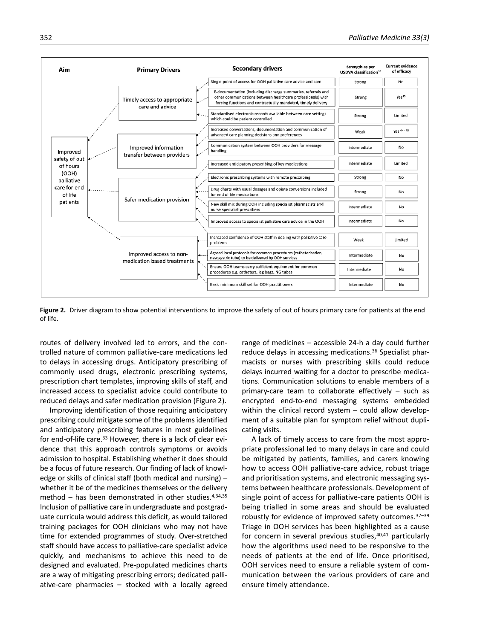

**Figure 2.** Driver diagram to show potential interventions to improve the safety of out of hours primary care for patients at the end of life.

routes of delivery involved led to errors, and the controlled nature of common palliative-care medications led to delays in accessing drugs. Anticipatory prescribing of commonly used drugs, electronic prescribing systems, prescription chart templates, improving skills of staff, and increased access to specialist advice could contribute to reduced delays and safer medication provision (Figure 2).

Improving identification of those requiring anticipatory prescribing could mitigate some of the problems identified and anticipatory prescribing features in most guidelines for end-of-life care.<sup>33</sup> However, there is a lack of clear evidence that this approach controls symptoms or avoids admission to hospital. Establishing whether it does should be a focus of future research. Our finding of lack of knowledge or skills of clinical staff (both medical and nursing) – whether it be of the medicines themselves or the delivery method – has been demonstrated in other studies. $4,34,35$ Inclusion of palliative care in undergraduate and postgraduate curricula would address this deficit, as would tailored training packages for OOH clinicians who may not have time for extended programmes of study. Over-stretched staff should have access to palliative-care specialist advice quickly, and mechanisms to achieve this need to de designed and evaluated. Pre-populated medicines charts are a way of mitigating prescribing errors; dedicated palliative-care pharmacies – stocked with a locally agreed

range of medicines – accessible 24-h a day could further reduce delays in accessing medications.36 Specialist pharmacists or nurses with prescribing skills could reduce delays incurred waiting for a doctor to prescribe medications. Communication solutions to enable members of a primary-care team to collaborate effectively – such as encrypted end-to-end messaging systems embedded within the clinical record system – could allow development of a suitable plan for symptom relief without duplicating visits.

A lack of timely access to care from the most appropriate professional led to many delays in care and could be mitigated by patients, families, and carers knowing how to access OOH palliative-care advice, robust triage and prioritisation systems, and electronic messaging systems between healthcare professionals. Development of single point of access for palliative-care patients OOH is being trialled in some areas and should be evaluated robustly for evidence of improved safety outcomes.37–39 Triage in OOH services has been highlighted as a cause for concern in several previous studies, 40,41 particularly how the algorithms used need to be responsive to the needs of patients at the end of life. Once prioritised, OOH services need to ensure a reliable system of communication between the various providers of care and ensure timely attendance.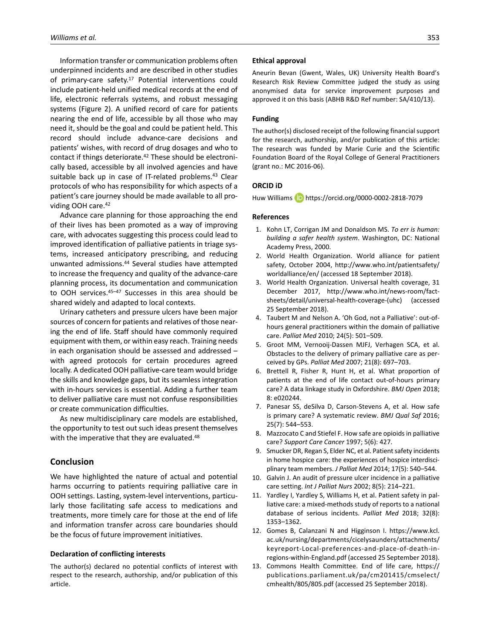Information transfer or communication problems often underpinned incidents and are described in other studies of primary-care safety.<sup>17</sup> Potential interventions could include patient-held unified medical records at the end of life, electronic referrals systems, and robust messaging systems (Figure 2). A unified record of care for patients nearing the end of life, accessible by all those who may need it, should be the goal and could be patient held. This record should include advance-care decisions and patients' wishes, with record of drug dosages and who to contact if things deteriorate.42 These should be electronically based, accessible by all involved agencies and have suitable back up in case of IT-related problems.43 Clear protocols of who has responsibility for which aspects of a patient's care journey should be made available to all providing OOH care.42

Advance care planning for those approaching the end of their lives has been promoted as a way of improving care, with advocates suggesting this process could lead to improved identification of palliative patients in triage systems, increased anticipatory prescribing, and reducing unwanted admissions.44 Several studies have attempted to increase the frequency and quality of the advance-care planning process, its documentation and communication to OOH services.45–47 Successes in this area should be shared widely and adapted to local contexts.

Urinary catheters and pressure ulcers have been major sources of concern for patients and relatives of those nearing the end of life. Staff should have commonly required equipment with them, or within easy reach. Training needs in each organisation should be assessed and addressed – with agreed protocols for certain procedures agreed locally. A dedicated OOH palliative-care team would bridge the skills and knowledge gaps, but its seamless integration with in-hours services is essential. Adding a further team to deliver palliative care must not confuse responsibilities or create communication difficulties.

As new multidisciplinary care models are established, the opportunity to test out such ideas present themselves with the imperative that they are evaluated.<sup>48</sup>

# **Conclusion**

We have highlighted the nature of actual and potential harms occurring to patients requiring palliative care in OOH settings. Lasting, system-level interventions, particularly those facilitating safe access to medications and treatments, more timely care for those at the end of life and information transfer across care boundaries should be the focus of future improvement initiatives.

### **Declaration of conflicting interests**

The author(s) declared no potential conflicts of interest with respect to the research, authorship, and/or publication of this article.

#### **Ethical approval**

Aneurin Bevan (Gwent, Wales, UK) University Health Board's Research Risk Review Committee judged the study as using anonymised data for service improvement purposes and approved it on this basis (ABHB R&D Ref number: SA/410/13).

### **Funding**

The author(s) disclosed receipt of the following financial support for the research, authorship, and/or publication of this article: The research was funded by Marie Curie and the Scientific Foundation Board of the Royal College of General Practitioners (grant no.: MC 2016-06).

# **ORCID iD**

Huw Williams **iD** <https://orcid.org/0000-0002-2818-7079>

### **References**

- 1. Kohn LT, Corrigan JM and Donaldson MS. *To err is human: building a safer health system*. Washington, DC: National Academy Press, 2000.
- 2. World Health Organization. World alliance for patient safety, October 2004, [http://www.who.int/patientsafety/](http://www.who.int/patientsafety/worldalliance/en/) [worldalliance/en/](http://www.who.int/patientsafety/worldalliance/en/) (accessed 18 September 2018).
- 3. World Health Organization. Universal health coverage, 31 December 2017, [http://www.who.int/news-room/fact](http://www.who.int/news-room/fact-sheets/detail/universal-health-coverage-(uhc))[sheets/detail/universal-health-coverage-\(uhc\)](http://www.who.int/news-room/fact-sheets/detail/universal-health-coverage-(uhc)) (accessed 25 September 2018).
- 4. Taubert M and Nelson A. 'Oh God, not a Palliative': out-ofhours general practitioners within the domain of palliative care. *Palliat Med* 2010; 24(5): 501–509.
- 5. Groot MM, Vernooij-Dassen MJFJ, Verhagen SCA, et al. Obstacles to the delivery of primary palliative care as perceived by GPs. *Palliat Med* 2007; 21(8): 697–703.
- 6. Brettell R, Fisher R, Hunt H, et al. What proportion of patients at the end of life contact out-of-hours primary care? A data linkage study in Oxfordshire. *BMJ Open* 2018; 8: e020244.
- 7. Panesar SS, deSilva D, Carson-Stevens A, et al. How safe is primary care? A systematic review. *BMJ Qual Saf* 2016; 25(7): 544–553.
- 8. Mazzocato C and Stiefel F. How safe are opioids in palliative care? *Support Care Cancer* 1997; 5(6): 427.
- 9. Smucker DR, Regan S, Elder NC, et al. Patient safety incidents in home hospice care: the experiences of hospice interdisciplinary team members. *J Palliat Med* 2014; 17(5): 540–544.
- 10. Galvin J. An audit of pressure ulcer incidence in a palliative care setting. *Int J Palliat Nurs* 2002; 8(5): 214–221.
- 11. Yardley I, Yardley S, Williams H, et al. Patient safety in palliative care: a mixed-methods study of reports to a national database of serious incidents. *Palliat Med* 2018; 32(8): 1353–1362.
- 12. Gomes B, Calanzani N and Higginson I. [https://www.kcl.](https://www.kcl.ac.uk/nursing/departments/cicelysaunders/attachments/keyreport-Local-preferences-and-place-of-death-in-regions-within-England.pdf) [ac.uk/nursing/departments/cicelysaunders/attachments/](https://www.kcl.ac.uk/nursing/departments/cicelysaunders/attachments/keyreport-Local-preferences-and-place-of-death-in-regions-within-England.pdf) [keyreport-Local-preferences-and-place-of-death-in](https://www.kcl.ac.uk/nursing/departments/cicelysaunders/attachments/keyreport-Local-preferences-and-place-of-death-in-regions-within-England.pdf)[regions-within-England.pdf](https://www.kcl.ac.uk/nursing/departments/cicelysaunders/attachments/keyreport-Local-preferences-and-place-of-death-in-regions-within-England.pdf) (accessed 25 September 2018).
- 13. Commons Health Committee. End of life care, [https://](https://publications.parliament.uk/pa/cm201415/cmselect/cmhealth/805/805.pdf) [publications.parliament.uk/pa/cm201415/cmselect/](https://publications.parliament.uk/pa/cm201415/cmselect/cmhealth/805/805.pdf) [cmhealth/805/805.pdf](https://publications.parliament.uk/pa/cm201415/cmselect/cmhealth/805/805.pdf) (accessed 25 September 2018).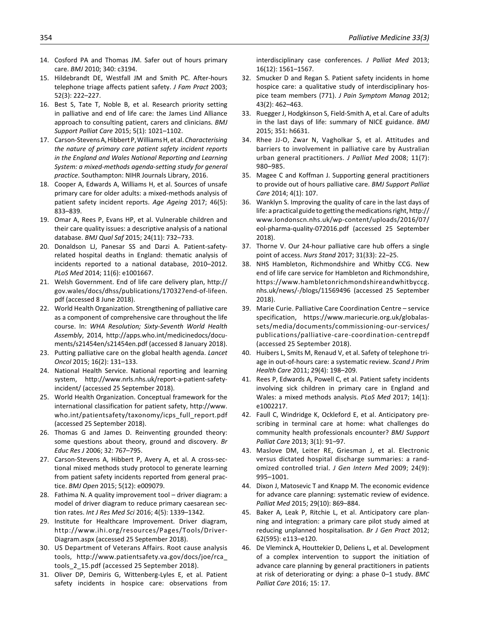- 14. Cosford PA and Thomas JM. Safer out of hours primary care. *BMJ* 2010; 340: c3194.
- 15. Hildebrandt DE, Westfall JM and Smith PC. After-hours telephone triage affects patient safety. *J Fam Pract* 2003; 52(3): 222–227.
- 16. Best S, Tate T, Noble B, et al. Research priority setting in palliative and end of life care: the James Lind Alliance approach to consulting patient, carers and clinicians. *BMJ Support Palliat Care* 2015; 5(1): 1021–1102.
- 17. Carson-Stevens A, Hibbert P, Williams H, etal. *Characterising the nature of primary care patient safety incident reports in the England and Wales National Reporting and Learning System: a mixed-methods agenda-setting study for general practice*. Southampton: NIHR Journals Library, 2016.
- 18. Cooper A, Edwards A, Williams H, et al. Sources of unsafe primary care for older adults: a mixed-methods analysis of patient safety incident reports. *Age Ageing* 2017; 46(5): 833–839.
- 19. Omar A, Rees P, Evans HP, et al. Vulnerable children and their care quality issues: a descriptive analysis of a national database. *BMJ Qual Saf* 2015; 24(11): 732–733.
- 20. Donaldson LJ, Panesar SS and Darzi A. Patient-safetyrelated hospital deaths in England: thematic analysis of incidents reported to a national database, 2010–2012. *PLoS Med* 2014; 11(6): e1001667.
- 21. Welsh Government. End of life care delivery plan, [http://](http://gov.wales/docs/dhss/publications/170327end-of-lifeen.pdf) [gov.wales/docs/dhss/publications/170327end-of-lifeen.](http://gov.wales/docs/dhss/publications/170327end-of-lifeen.pdf) [pdf](http://gov.wales/docs/dhss/publications/170327end-of-lifeen.pdf) (accessed 8 June 2018).
- 22. World Health Organization. Strengthening of palliative care as a component of comprehensive care throughout the life course. In: *WHA Resolution; Sixty-Seventh World Health Assembly*, 2014, [http://apps.who.int/medicinedocs/docu](http://apps.who.int/medicinedocs/documents/s21454en/s21454en.pdf)[ments/s21454en/s21454en.pdf](http://apps.who.int/medicinedocs/documents/s21454en/s21454en.pdf) (accessed 8 January 2018).
- 23. Putting palliative care on the global health agenda. *Lancet Oncol* 2015; 16(2): 131–133.
- 24. National Health Service. National reporting and learning system, [http://www.nrls.nhs.uk/report-a-patient-safety](http://www.nrls.nhs.uk/report-a-patient-safety-incident/)[incident/](http://www.nrls.nhs.uk/report-a-patient-safety-incident/) (accessed 25 September 2018).
- 25. World Health Organization. Conceptual framework for the international classification for patient safety, [http://www.](http://www.who.int/patientsafety/taxonomy/icps_full_report.pdf) [who.int/patientsafety/taxonomy/icps\\_full\\_report.pdf](http://www.who.int/patientsafety/taxonomy/icps_full_report.pdf) (accessed 25 September 2018).
- 26. Thomas G and James D. Reinventing grounded theory: some questions about theory, ground and discovery. *Br Educ Res J* 2006; 32: 767–795.
- 27. Carson-Stevens A, Hibbert P, Avery A, et al. A cross-sectional mixed methods study protocol to generate learning from patient safety incidents reported from general practice. *BMJ Open* 2015; 5(12): e009079.
- 28. Fathima N. A quality improvement tool driver diagram: a model of driver diagram to reduce primary caesarean section rates. *Int J Res Med Sci* 2016; 4(5): 1339–1342.
- 29. Institute for Healthcare Improvement. Driver diagram, [http://www.ihi.org/resources/Pages/Tools/Driver-](http://www.ihi.org/resources/Pages/Tools/Driver-Diagram.aspx)[Diagram.aspx](http://www.ihi.org/resources/Pages/Tools/Driver-Diagram.aspx) (accessed 25 September 2018).
- 30. US Department of Veterans Affairs. Root cause analysis tools, [http://www.patientsafety.va.gov/docs/joe/rca\\_](http://www.patientsafety.va.gov/docs/joe/rca_tools_2_15.pdf) [tools\\_2\\_15.pdf](http://www.patientsafety.va.gov/docs/joe/rca_tools_2_15.pdf) (accessed 25 September 2018).
- 31. Oliver DP, Demiris G, Wittenberg-Lyles E, et al. Patient safety incidents in hospice care: observations from

interdisciplinary case conferences. *J Palliat Med* 2013; 16(12): 1561–1567.

- 32. Smucker D and Regan S. Patient safety incidents in home hospice care: a qualitative study of interdisciplinary hospice team members (771). *J Pain Symptom Manag* 2012; 43(2): 462–463.
- 33. Ruegger J, Hodgkinson S, Field-Smith A, et al. Care of adults in the last days of life: summary of NICE guidance. *BMJ* 2015; 351: h6631.
- 34. Rhee JJ-O, Zwar N, Vagholkar S, et al. Attitudes and barriers to involvement in palliative care by Australian urban general practitioners. *J Palliat Med* 2008; 11(7): 980–985.
- 35. Magee C and Koffman J. Supporting general practitioners to provide out of hours palliative care. *BMJ Support Palliat Care* 2014; 4(1): 107.
- 36. Wanklyn S. Improving the quality of care in the last days of life: a practical guide to getting the medications right, [http://](http://www.londonscn.nhs.uk/wp-content/uploads/2016/07/eol-pharma-quality-072016.pdf) [www.londonscn.nhs.uk/wp-content/uploads/2016/07/](http://www.londonscn.nhs.uk/wp-content/uploads/2016/07/eol-pharma-quality-072016.pdf) [eol-pharma-quality-072016.pdf](http://www.londonscn.nhs.uk/wp-content/uploads/2016/07/eol-pharma-quality-072016.pdf) (accessed 25 September 2018).
- 37. Thorne V. Our 24-hour palliative care hub offers a single point of access. *Nurs Stand* 2017; 31(33): 22–25.
- 38. NHS Hambleton, Richmondshire and Whitby CCG. New end of life care service for Hambleton and Richmondshire, [https://www.hambletonrichmondshireandwhitbyccg.](https://www.hambletonrichmondshireandwhitbyccg.nhs.uk/news/-/blogs/11569496) [nhs.uk/news/-/blogs/11569496](https://www.hambletonrichmondshireandwhitbyccg.nhs.uk/news/-/blogs/11569496) (accessed 25 September 2018).
- 39. Marie Curie. Palliative Care Coordination Centre service specification, [https://www.mariecurie.org.uk/globalas](https://www.mariecurie.org.uk/globalassets/media/documents/commissioning-our-services/publications/palliative-care-coordination-centrepdf)[sets/media/documents/commissioning-our-services/](https://www.mariecurie.org.uk/globalassets/media/documents/commissioning-our-services/publications/palliative-care-coordination-centrepdf) [publications/palliative-care-coordination-centrepdf](https://www.mariecurie.org.uk/globalassets/media/documents/commissioning-our-services/publications/palliative-care-coordination-centrepdf)  (accessed 25 September 2018).
- 40. Huibers L, Smits M, Renaud V, et al. Safety of telephone triage in out-of-hours care: a systematic review. *Scand J Prim Health Care* 2011; 29(4): 198–209.
- 41. Rees P, Edwards A, Powell C, et al. Patient safety incidents involving sick children in primary care in England and Wales: a mixed methods analysis. *PLoS Med* 2017; 14(1): e1002217.
- 42. Faull C, Windridge K, Ockleford E, et al. Anticipatory prescribing in terminal care at home: what challenges do community health professionals encounter? *BMJ Support Palliat Care* 2013; 3(1): 91–97.
- 43. Maslove DM, Leiter RE, Griesman J, et al. Electronic versus dictated hospital discharge summaries: a randomized controlled trial. *J Gen Intern Med* 2009; 24(9): 995–1001.
- 44. Dixon J, Matosevic T and Knapp M. The economic evidence for advance care planning: systematic review of evidence. *Palliat Med* 2015; 29(10): 869–884.
- 45. Baker A, Leak P, Ritchie L, et al. Anticipatory care planning and integration: a primary care pilot study aimed at reducing unplanned hospitalisation. *Br J Gen Pract* 2012; 62(595): e113–e120.
- 46. De Vleminck A, Houttekier D, Deliens L, et al. Development of a complex intervention to support the initiation of advance care planning by general practitioners in patients at risk of deteriorating or dying: a phase 0–1 study. *BMC Palliat Care* 2016; 15: 17.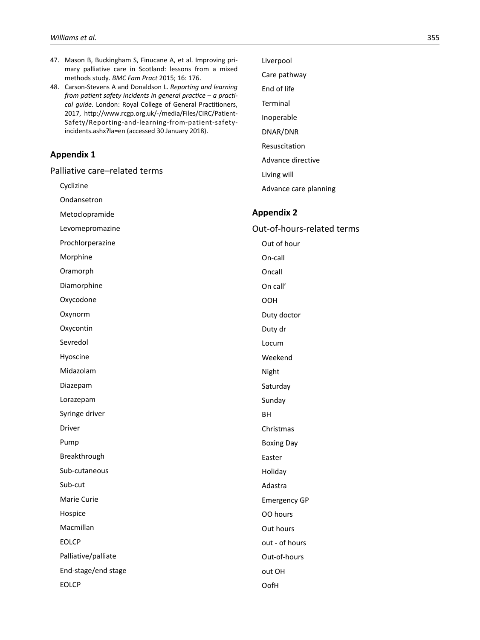- 47. Mason B, Buckingham S, Finucane A, et al. Improving primary palliative care in Scotland: lessons from a mixed methods study. *BMC Fam Pract* 2015; 16: 176.
- 48. Carson-Stevens A and Donaldson L. *Reporting and learning from patient safety incidents in general practice – a practical guide*. London: Royal College of General Practitioners, 2017, [http://www.rcgp.org.uk/-/media/Files/CIRC/Patient-](http://www.rcgp.org.uk/-/media/Files/CIRC/Patient-Safety/Reporting-and-learning-from-patient-safety-incidents.ashx?la=en)[Safety/Reporting-and-learning-from-patient-safety](http://www.rcgp.org.uk/-/media/Files/CIRC/Patient-Safety/Reporting-and-learning-from-patient-safety-incidents.ashx?la=en)[incidents.ashx?la=en](http://www.rcgp.org.uk/-/media/Files/CIRC/Patient-Safety/Reporting-and-learning-from-patient-safety-incidents.ashx?la=en) (accessed 30 January 2018).

# **Appendix 1**

Palliative care–related terms

Cyclizine

Ondansetron

Metoclopramide

Levomepromazine

Prochlorperazine

Morphine

Oramorph

Diamorphine

Oxycodone

Oxynorm

**Oxycontin** 

Sevredol

Hyoscine

Midazolam

Diazepam

Lorazepam

Syringe driver

Driver

Pump

Breakthrough

Sub-cutaneous

Sub-cut

Marie Curie

Hospice

Macmillan

**EOLCP** 

Palliative/palliate

End-stage/end stage

**EOLCP** 

Liverpool Care pathway End of life **Terminal** Inoperable DNAR/DNR Resuscitation Advance directive Living will

Advance care planning

# **Appendix 2**

Out-of-hours-related terms Out of hour On-call Oncall On call' OOH Duty doctor Duty dr Locum Weekend Night Saturday Sunday BH Christmas Boxing Day Easter Holiday Adastra Emergency GP OO hours

Out hours

out - of hours

Out-of-hours

out OH

OofH